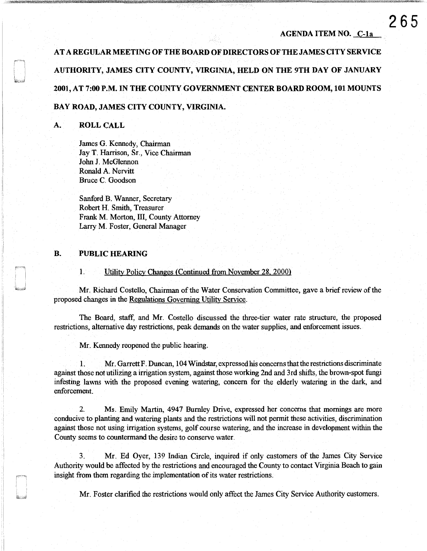### AGENDA ITEM NO. C-la

AT A REGULAR MEETING OF THE BOARD OF DIRECTORS OF THE JAMES CITY SERVICE AUTHORITY, JAMES CITY COUNTY, VIRGINIA, HELD ON THE 9TH DAY OF JANUARY 2001, AT 7:00 P.M. IN THE COUNTY GOVERNMENT CENTER BOARD ROOM, 101 MOUNTS

# BAY ROAD, JAMES CITY COUNTY, VIRGINIA.

# A. ROLL CALL

James G. Kennedy, Chairman Jay T. Harrison, Sr., Vice Chairman John J. McGlennon Ronald A. Nervitt Bruce C. Goodson

Sanford B. Wanner, Secretary Robert H. Smith, Treasurer Frank M. Morton, Ill, County Attorney Larry M. Foster, General Manager

# B. PUBLIC HEARING

J

1. Utility Policy Changes (Continued from November 28, 2000)

Mr. Richard Costello, Chairman of the Water Conservation Committee, gave a briefreview of the proposed changes in the Regulations Governing Utility Service.

The Board, staff, and Mr. Costello discussed the three-tier water rate structure, the proposed restrictions, alternative day restrictions, peak demands on the water supplies, and enforcement issues.

Mr. Kennedy reopened the public hearing.

1. Mr. Garrett F. Duncan, 104 Windstar, expressed his concerns that the restrictions discriminate against those not utilizing a irrigation system, against those working 2nd and 3rd shifts, the brown-spot fungi infesting lawns with the proposed evening watering, concern for the elderly watering in the dark, and enforcement.

2. Ms. Emily Martin, 4947 Burnley Drive, expressed her concerns that mornings are more conducive to planting and watering plants and the restrictions will not permit these activities, discrimination against those not using irrigation systems, golf course watering, and the increase in development within the County seems to countermand the desire to conserve water.

3. Mr. Ed Oyer, 139 Indian Circle, inquired if only customers of the James City Service Authority would be affected by the restrictions and encouraged the County to contact Virginia Beach to gain insight from them regarding the implementation of its water restrictions.

Mr. Foster clarified the restrictions would only affect the James City Service Authority customers.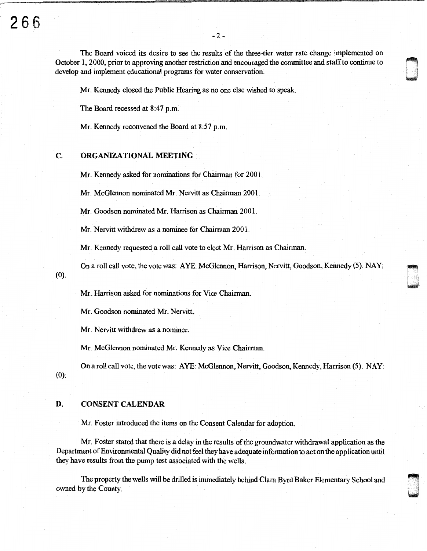The Board voiced its desire to see the results of the three-tier water rate change implemented on October I, 2000, prior to approving another restriction and encouraged the committee and staff to continue to develop and implement educational programs for water conservation.

~ i I I , ~

i<br>**i**<br>kale

n. ' I i ~

Mr. Kennedy closed the Public Hearing as no one else wished to speak.

The Board recessed at 8:47 p.m.

Mr. Kennedy reconvened the Board at 8:57 p.m.

#### C. ORGANIZATIONAL MEETING

Mr. Kennedy asked for nominations for Chairman for 2001.

Mr. McGlennon nominated Mr. Nervitt as Chairman 2001.

Mr. Goodson nominated Mr. Harrison as Chairman 200 I.

Mr. Nervitt withdrew as a nominee for Chairman 2001.

Mr. Kennedy requested a roll call vote to elect Mr. Harrison as Chairman.

On a roll call vote, the vote was: A YE: McGlennon, Harrison, Nervitt, Goodson, Kennedy (5). NAY:

Mr. Harrison asked for nominations for Vice Chairman.

Mr. Goodson nominated Mr. Nervitt.

Mr. Nervitt withdrew as a nominee.

Mr. McGlennon nominated Mr. Kennedy as Vice Chairman.

On a roll call vote, the vote was: AYE: McGlennon, Nervitt, Goodson, Kennedy, Harrison (5). NAY: (0).

## D. CONSENT CALENDAR

(0).

Mr. Foster introduced the items on the Consent Calendar for adoption.

Mr. Foster stated that there is a delay in the results of the groundwater withdrawal application as the Department of Environmental Quality did not feel they have adequate information to act on the application until they have results from the pump test associated with the wells.

The property the wells will be drilled is immediately behind Clara Byrd Baker Elementary School and owned by the County.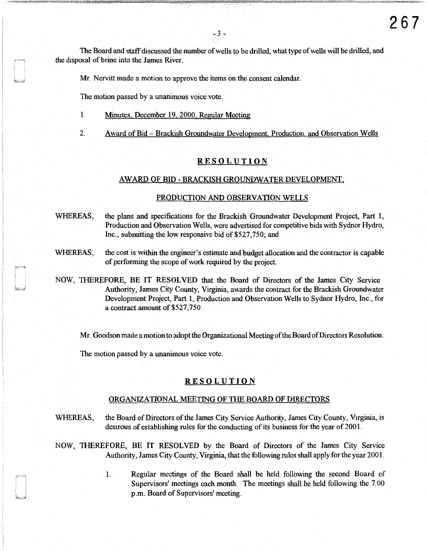The Board and staff discussed the number of wells to be drilled, what type of wells will be drilled, and the disposal of brine into the James River.

Mr. Nervitt made a motion to approve the items on the consent calendar.

The motion passed by a unanimous voice vote.

- 1. Minutes, December 19, 2000, Regular Meeting
- 2. Award of Bid- Brackish Groundwater Development, Production, and Observation Wells

## RESOLUTION

#### AWARD OF BID-BRACKISH GROUNDWATER DEVELOPMENT,

#### PRODUCTION AND OBSERVATION WELLS

WHEREAS, the plans and specifications for the Brackish Groundwater Development Project, Part 1, Production and Observation Wells, were advertised for competitive bids with Sydnor Hydro, Inc., submitting the low responsive bid of \$527,750; and

WHEREAS, the cost is within the engineer's estimate and budget allocation and the contractor is capable of performing the scope of work required by the project.

NOW, THEREFORE, BE IT RESOLVED that the Board of Directors of the James City Service Authority, James City County, Virginia, awards the contract for the Brackish Groundwater Development Project, Part 1, Production and Observation Wells to Sydnor Hydro, Inc., for a contract amount of \$527,750.

Mr. Goodson made a motion to adopt the Organizational Meeting of the Board of Directors Resolution.

The motion passed by a unanimous voice vote.

### RESOLUTION

#### ORGANIZATIONAL MEETING OF THE BOARD OF DIRECTORS

WHEREAS, the Board of Directors of the James City Service Authority, James City County, Virginia, is desirous of establishing rules for the conducting of its business for the year of 2001.

NOW, THEREFORE, BE IT RESOLVED by the Board of Directors of the James City Service Authority, James City County, Virginia, that the following rules shall apply for the year 2001.

> 1. Regular meetings of the Board shall be held following the second Board of Supervisors' meetings each month. The meetings shall be held following the 7:00 p.m. Board of Supervisors' meeting.